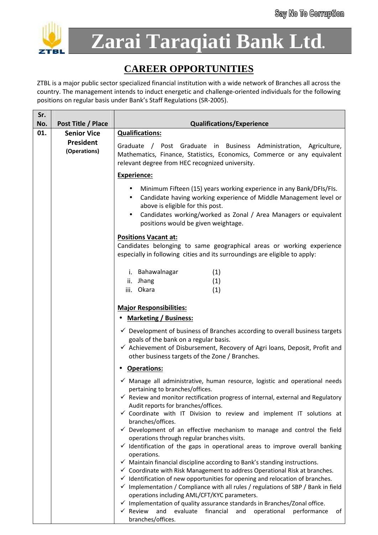

**Zarai Taraqiati Bank Ltd.**

## **CAREER OPPORTUNITIES**

ZTBL is a major public sector specialized financial institution with a wide network of Branches all across the country. The management intends to induct energetic and challenge-oriented individuals for the following positions on regular basis under Bank's Staff Regulations (SR-2005).

| Sr.        |                                          |                                                                                                                                                                                                                                                                                                                                                                                                                            |
|------------|------------------------------------------|----------------------------------------------------------------------------------------------------------------------------------------------------------------------------------------------------------------------------------------------------------------------------------------------------------------------------------------------------------------------------------------------------------------------------|
| No.<br>01. | Post Title / Place<br><b>Senior Vice</b> | <b>Qualifications/Experience</b><br><b>Qualifications:</b>                                                                                                                                                                                                                                                                                                                                                                 |
|            | President<br>(Operations)                | Graduate / Post Graduate in Business Administration, Agriculture,<br>Mathematics, Finance, Statistics, Economics, Commerce or any equivalent<br>relevant degree from HEC recognized university.                                                                                                                                                                                                                            |
|            |                                          | <b>Experience:</b>                                                                                                                                                                                                                                                                                                                                                                                                         |
|            |                                          | Minimum Fifteen (15) years working experience in any Bank/DFIs/FIs.<br>Candidate having working experience of Middle Management level or<br>above is eligible for this post.<br>Candidates working/worked as Zonal / Area Managers or equivalent<br>positions would be given weightage.                                                                                                                                    |
|            |                                          | <b>Positions Vacant at:</b>                                                                                                                                                                                                                                                                                                                                                                                                |
|            |                                          | Candidates belonging to same geographical areas or working experience<br>especially in following cities and its surroundings are eligible to apply:                                                                                                                                                                                                                                                                        |
|            |                                          | i. Bahawalnagar<br>(1)                                                                                                                                                                                                                                                                                                                                                                                                     |
|            |                                          | (1)<br>ii. Jhang                                                                                                                                                                                                                                                                                                                                                                                                           |
|            |                                          | iii. Okara<br>(1)                                                                                                                                                                                                                                                                                                                                                                                                          |
|            |                                          | <b>Major Responsibilities:</b>                                                                                                                                                                                                                                                                                                                                                                                             |
|            |                                          | <b>Marketing / Business:</b>                                                                                                                                                                                                                                                                                                                                                                                               |
|            |                                          | $\checkmark$ Development of business of Branches according to overall business targets<br>goals of the bank on a regular basis.<br>✓ Achievement of Disbursement, Recovery of Agri loans, Deposit, Profit and<br>other business targets of the Zone / Branches.                                                                                                                                                            |
|            |                                          | <b>Operations:</b>                                                                                                                                                                                                                                                                                                                                                                                                         |
|            |                                          | $\checkmark$ Manage all administrative, human resource, logistic and operational needs<br>pertaining to branches/offices.<br>$\checkmark$ Review and monitor rectification progress of internal, external and Regulatory                                                                                                                                                                                                   |
|            |                                          | Audit reports for branches/offices.<br>$\checkmark$ Coordinate with IT Division to review and implement IT solutions at<br>branches/offices.<br>$\checkmark$ Development of an effective mechanism to manage and control the field                                                                                                                                                                                         |
|            |                                          | operations through regular branches visits.<br>$\checkmark$ Identification of the gaps in operational areas to improve overall banking<br>operations.                                                                                                                                                                                                                                                                      |
|            |                                          | $\checkmark$ Maintain financial discipline according to Bank's standing instructions.<br>$\checkmark$ Coordinate with Risk Management to address Operational Risk at branches.<br>$\checkmark$ Identification of new opportunities for opening and relocation of branches.<br>$\checkmark$ Implementation / Compliance with all rules / regulations of SBP / Bank in field<br>operations including AML/CFT/KYC parameters. |
|            |                                          | $\checkmark$ Implementation of quality assurance standards in Branches/Zonal office.<br>$\checkmark$ Review<br>and<br>evaluate<br>financial<br>and<br>operational<br>performance<br>οf<br>branches/offices.                                                                                                                                                                                                                |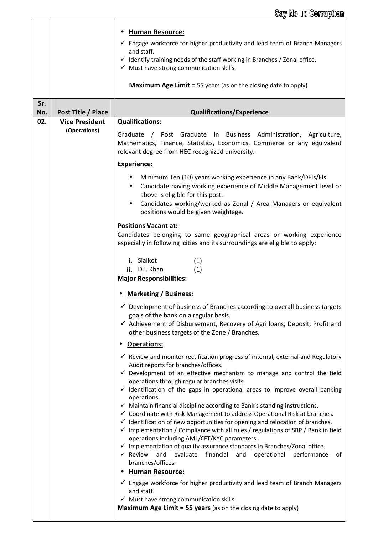|            |                                       | <b>Human Resource:</b><br>$\checkmark$ Engage workforce for higher productivity and lead team of Branch Managers<br>and staff.<br>$\checkmark$ Identify training needs of the staff working in Branches / Zonal office.<br>$\checkmark$ Must have strong communication skills.<br><b>Maximum Age Limit =</b> 55 years (as on the closing date to apply) |  |  |
|------------|---------------------------------------|---------------------------------------------------------------------------------------------------------------------------------------------------------------------------------------------------------------------------------------------------------------------------------------------------------------------------------------------------------|--|--|
| Sr.<br>No. | Post Title / Place                    | <b>Qualifications/Experience</b>                                                                                                                                                                                                                                                                                                                        |  |  |
| 02.        | <b>Vice President</b><br>(Operations) | <b>Qualifications:</b>                                                                                                                                                                                                                                                                                                                                  |  |  |
|            |                                       | / Post Graduate in Business Administration, Agriculture,<br>Graduate<br>Mathematics, Finance, Statistics, Economics, Commerce or any equivalent<br>relevant degree from HEC recognized university.                                                                                                                                                      |  |  |
|            |                                       | <b>Experience:</b>                                                                                                                                                                                                                                                                                                                                      |  |  |
|            |                                       | Minimum Ten (10) years working experience in any Bank/DFIs/FIs.<br>٠<br>Candidate having working experience of Middle Management level or<br>above is eligible for this post.<br>Candidates working/worked as Zonal / Area Managers or equivalent<br>$\bullet$                                                                                          |  |  |
|            |                                       | positions would be given weightage.                                                                                                                                                                                                                                                                                                                     |  |  |
|            |                                       | <b>Positions Vacant at:</b>                                                                                                                                                                                                                                                                                                                             |  |  |
|            |                                       | Candidates belonging to same geographical areas or working experience<br>especially in following cities and its surroundings are eligible to apply:                                                                                                                                                                                                     |  |  |
|            |                                       | i. Sialkot<br>(1)<br>ii. D.I. Khan<br>(1)<br><b>Major Responsibilities:</b>                                                                                                                                                                                                                                                                             |  |  |
|            |                                       |                                                                                                                                                                                                                                                                                                                                                         |  |  |
|            |                                       | <b>Marketing / Business:</b>                                                                                                                                                                                                                                                                                                                            |  |  |
|            |                                       | $\checkmark$ Development of business of Branches according to overall business targets<br>goals of the bank on a regular basis.                                                                                                                                                                                                                         |  |  |
|            |                                       | ✓ Achievement of Disbursement, Recovery of Agri Ioans, Deposit, Profit and<br>other business targets of the Zone / Branches.                                                                                                                                                                                                                            |  |  |
|            |                                       | <b>Operations:</b>                                                                                                                                                                                                                                                                                                                                      |  |  |
|            |                                       | $\checkmark$ Review and monitor rectification progress of internal, external and Regulatory<br>Audit reports for branches/offices.                                                                                                                                                                                                                      |  |  |
|            |                                       | $\checkmark$ Development of an effective mechanism to manage and control the field                                                                                                                                                                                                                                                                      |  |  |
|            |                                       | operations through regular branches visits.<br>$\checkmark$ Identification of the gaps in operational areas to improve overall banking<br>operations.                                                                                                                                                                                                   |  |  |
|            |                                       | $\checkmark$ Maintain financial discipline according to Bank's standing instructions.                                                                                                                                                                                                                                                                   |  |  |
|            |                                       | ✓ Coordinate with Risk Management to address Operational Risk at branches.<br>$\checkmark$ Identification of new opportunities for opening and relocation of branches.<br>$\checkmark$ Implementation / Compliance with all rules / regulations of SBP / Bank in field                                                                                  |  |  |
|            |                                       | operations including AML/CFT/KYC parameters.<br>$\checkmark$ Implementation of quality assurance standards in Branches/Zonal office.                                                                                                                                                                                                                    |  |  |
|            |                                       | $\checkmark$ Review<br>and<br>evaluate<br>financial<br>operational<br>and<br>performance<br>of<br>branches/offices.                                                                                                                                                                                                                                     |  |  |
|            |                                       | <b>Human Resource:</b><br>$\checkmark$ Engage workforce for higher productivity and lead team of Branch Managers                                                                                                                                                                                                                                        |  |  |
|            |                                       | and staff.                                                                                                                                                                                                                                                                                                                                              |  |  |
|            |                                       | $\checkmark$ Must have strong communication skills.<br>Maximum Age Limit = 55 years (as on the closing date to apply)                                                                                                                                                                                                                                   |  |  |